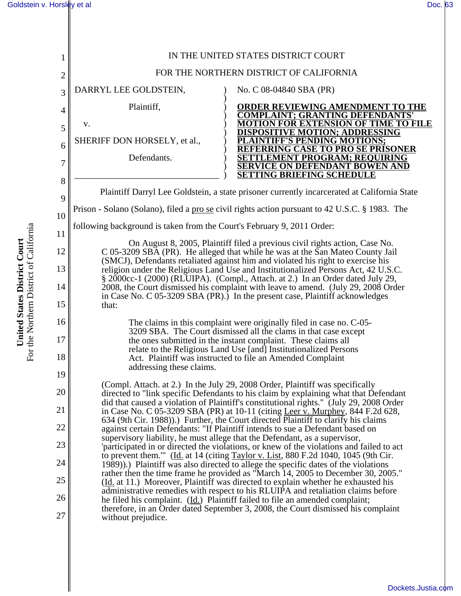| 1              | IN THE UNITED STATES DISTRICT COURT                                                                                                                                                                                                                     |                                                                                                                                                                                                                                                                  |  |
|----------------|---------------------------------------------------------------------------------------------------------------------------------------------------------------------------------------------------------------------------------------------------------|------------------------------------------------------------------------------------------------------------------------------------------------------------------------------------------------------------------------------------------------------------------|--|
| $\overline{c}$ | FOR THE NORTHERN DISTRICT OF CALIFORNIA                                                                                                                                                                                                                 |                                                                                                                                                                                                                                                                  |  |
| 3              | DARRYL LEE GOLDSTEIN,                                                                                                                                                                                                                                   | No. C 08-04840 SBA (PR)                                                                                                                                                                                                                                          |  |
| 4              | Plaintiff,                                                                                                                                                                                                                                              | <b>ORDER REVIEWING AMENDMENT TO THE</b><br><b>COMPLAINT; GRANTING DEFENDANTS'</b>                                                                                                                                                                                |  |
| 5              | V.                                                                                                                                                                                                                                                      | <b>MOTION FOR EXTENSION OF TIME TO FILE</b><br><b>DISPOSITIVE MOTION; ADDRESSING</b>                                                                                                                                                                             |  |
| 6              | SHERIFF DON HORSELY, et al.,                                                                                                                                                                                                                            | <b>AINTIFF'S PENDING MOTIONS;</b><br><u>EFERRING CASE TO PRO SE PRISONER</u>                                                                                                                                                                                     |  |
| 7              | Defendants.                                                                                                                                                                                                                                             | <b>TTLEMENT PROGRAM; REQUIRING</b><br>SERVICE ON DEFENDANT BOWEN AND<br><b>SETTING BRIEFING SCHEDULE</b>                                                                                                                                                         |  |
| 8              | Plaintiff Darryl Lee Goldstein, a state prisoner currently incarcerated at California State                                                                                                                                                             |                                                                                                                                                                                                                                                                  |  |
| 9              | Prison - Solano (Solano), filed a pro se civil rights action pursuant to 42 U.S.C. § 1983. The                                                                                                                                                          |                                                                                                                                                                                                                                                                  |  |
| 10<br>11       | following background is taken from the Court's February 9, 2011 Order:                                                                                                                                                                                  |                                                                                                                                                                                                                                                                  |  |
| 12             |                                                                                                                                                                                                                                                         | On August 8, 2005, Plaintiff filed a previous civil rights action, Case No.                                                                                                                                                                                      |  |
| 13             | C 05-3209 SBA (PR). He alleged that while he was at the San Mateo County Jail<br>(SMCJ), Defendants retaliated against him and violated his right to exercise his<br>religion under the Religious Land Use and Institutionalized Persons Act, 42 U.S.C. |                                                                                                                                                                                                                                                                  |  |
| 14             | § 2000cc-1 (2000) (RLUIPA). (Compl., Attach. at 2.) In an Order dated July 29,<br>2008, the Court dismissed his complaint with leave to amend. (July 29, 2008 Order                                                                                     |                                                                                                                                                                                                                                                                  |  |
| 15             | that:                                                                                                                                                                                                                                                   | in Case No. $C$ 05-3209 SBA (PR).) In the present case, Plaintiff acknowledges                                                                                                                                                                                   |  |
| 16             |                                                                                                                                                                                                                                                         | The claims in this complaint were originally filed in case no. C-05-                                                                                                                                                                                             |  |
| 17             | 3209 SBA. The Court dismissed all the clams in that case except<br>the ones submitted in the instant complaint. These claims all                                                                                                                        |                                                                                                                                                                                                                                                                  |  |
| 18             |                                                                                                                                                                                                                                                         | relate to the Religious Land Use [and] Institutionalized Persons<br>Act. Plaintiff was instructed to file an Amended Complaint                                                                                                                                   |  |
| 19             | addressing these claims.                                                                                                                                                                                                                                |                                                                                                                                                                                                                                                                  |  |
| 20             |                                                                                                                                                                                                                                                         | (Compl. Attach. at 2.) In the July 29, 2008 Order, Plaintiff was specifically<br>directed to "link specific Defendants to his claim by explaining what that Defendant<br>did that caused a violation of Plaintiff's constitutional rights." (July 29, 2008 Order |  |
| 21             |                                                                                                                                                                                                                                                         | in Case No. C 05-3209 SBA (PR) at 10-11 (citing Leer v. Murphey, 844 F.2d 628,<br>634 (9th Cir. 1988)).) Further, the Court directed Plaintiff to clarify his claims                                                                                             |  |
| 22             |                                                                                                                                                                                                                                                         | against certain Defendants: "If Plaintiff intends to sue a Defendant based on                                                                                                                                                                                    |  |
| 23             |                                                                                                                                                                                                                                                         | supervisory liability, he must allege that the Defendant, as a supervisor,<br>participated in or directed the violations, or knew of the violations and failed to act                                                                                            |  |
| 24             |                                                                                                                                                                                                                                                         | to prevent them." (Id. at 14 (citing Taylor v. List, 880 F.2d 1040, 1045 (9th Cir.<br>1989)).) Plaintiff was also directed to allege the specific dates of the violations                                                                                        |  |
| 25             |                                                                                                                                                                                                                                                         | rather then the time frame he provided as "March 14, 2005 to December 30, 2005."<br>(Id. at 11.) Moreover, Plaintiff was directed to explain whether he exhausted his                                                                                            |  |
| 26             |                                                                                                                                                                                                                                                         | administrative remedies with respect to his RLUIPA and retaliation claims before<br>he filed his complaint. (Id.) Plaintiff failed to file an amended complaint;                                                                                                 |  |
| 27             | without prejudice.                                                                                                                                                                                                                                      | therefore, in an Order dated September 3, 2008, the Court dismissed his complaint                                                                                                                                                                                |  |
|                |                                                                                                                                                                                                                                                         |                                                                                                                                                                                                                                                                  |  |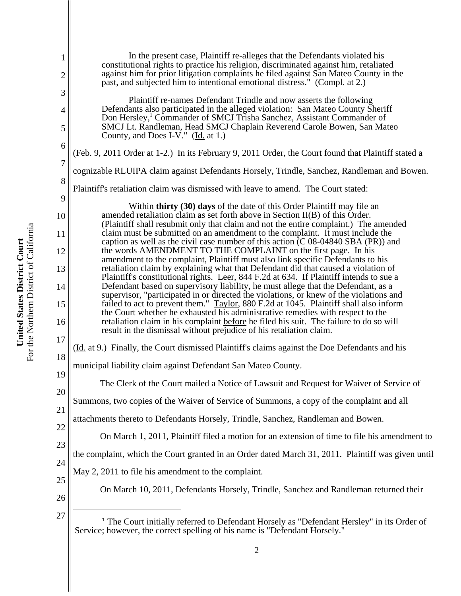1 2 3 4 5 6 7 8 9 10 11 12 13 14 15 16 17 18 19 20 21 22 23 24 25 26 <sup>27</sup> <sup>1</sup> The Court initially referred to Defendant Horsely as "Defendant Hersley" in its Order of Service; however, the correct spelling of his name is "Defendant Horsely." In the present case, Plaintiff re-alleges that the Defendants violated his constitutional rights to practice his religion, discriminated against him, retaliated against him for prior litigation complaints he filed against San Mateo County in the past, and subjected him to intentional emotional distress." (Compl. at 2.) Plaintiff re-names Defendant Trindle and now asserts the following Defendants also participated in the alleged violation: San Mateo County Sheriff Don Hersley,<sup>1</sup> Commander of SMCJ Trisha Sanchez, Assistant Commander of SMCJ Lt. Randleman, Head SMCJ Chaplain Reverend Carole Bowen, San Mateo County, and Does I-V." (Id. at 1.) (Feb. 9, 2011 Order at 1-2.) In its February 9, 2011 Order, the Court found that Plaintiff stated a cognizable RLUIPA claim against Defendants Horsely, Trindle, Sanchez, Randleman and Bowen. Plaintiff's retaliation claim was dismissed with leave to amend. The Court stated: Within **thirty (30) days** of the date of this Order Plaintiff may file an amended retaliation claim as set forth above in Section II(B) of this Order. (Plaintiff shall resubmit only that claim and not the entire complaint.) The amended claim must be submitted on an amendment to the complaint. It must include the caption as well as the civil case number of this action  $\overline{(C 08-04840 SBA (PR))}$  and the words AMENDMENT TO THE COMPLAINT on the first page. In his amendment to the complaint, Plaintiff must also link specific Defendants to his retaliation claim by explaining what that Defendant did that caused a violation of Plaintiff's constitutional rights. Leer, 844 F.2d at 634. If Plaintiff intends to sue a Defendant based on supervisory liability, he must allege that the Defendant, as a supervisor, "participated in or directed the violations, or knew of the violations and failed to act to prevent them." Taylor, 880 F.2d at 1045. Plaintiff shall also inform the Court whether he exhausted his administrative remedies with respect to the retaliation claim in his complaint before he filed his suit. The failure to do so will result in the dismissal without prejudice of his retaliation claim. (Id. at 9.) Finally, the Court dismissed Plaintiff's claims against the Doe Defendants and his municipal liability claim against Defendant San Mateo County. The Clerk of the Court mailed a Notice of Lawsuit and Request for Waiver of Service of Summons, two copies of the Waiver of Service of Summons, a copy of the complaint and all attachments thereto to Defendants Horsely, Trindle, Sanchez, Randleman and Bowen. On March 1, 2011, Plaintiff filed a motion for an extension of time to file his amendment to the complaint, which the Court granted in an Order dated March 31, 2011. Plaintiff was given until May 2, 2011 to file his amendment to the complaint. On March 10, 2011, Defendants Horsely, Trindle, Sanchez and Randleman returned their

For the Northern District of California For the Northern District of California United States District Court **United States District Court**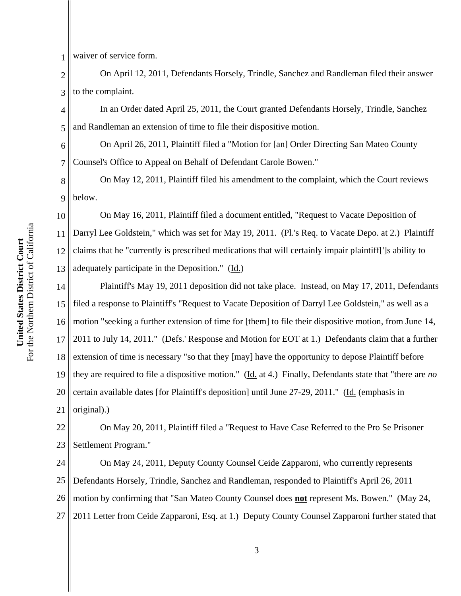1 waiver of service form.

6

7

2 3 On April 12, 2011, Defendants Horsely, Trindle, Sanchez and Randleman filed their answer to the complaint.

4 5 In an Order dated April 25, 2011, the Court granted Defendants Horsely, Trindle, Sanchez and Randleman an extension of time to file their dispositive motion.

On April 26, 2011, Plaintiff filed a "Motion for [an] Order Directing San Mateo County Counsel's Office to Appeal on Behalf of Defendant Carole Bowen."

8 9 On May 12, 2011, Plaintiff filed his amendment to the complaint, which the Court reviews below.

10 11 12 13 On May 16, 2011, Plaintiff filed a document entitled, "Request to Vacate Deposition of Darryl Lee Goldstein," which was set for May 19, 2011. (Pl.'s Req. to Vacate Depo. at 2.) Plaintiff claims that he "currently is prescribed medications that will certainly impair plaintiff[']s ability to adequately participate in the Deposition." (Id.)

14 15 16 17 18 19 20 21 Plaintiff's May 19, 2011 deposition did not take place. Instead, on May 17, 2011, Defendants filed a response to Plaintiff's "Request to Vacate Deposition of Darryl Lee Goldstein," as well as a motion "seeking a further extension of time for [them] to file their dispositive motion, from June 14, 2011 to July 14, 2011." (Defs.' Response and Motion for EOT at 1.) Defendants claim that a further extension of time is necessary "so that they [may] have the opportunity to depose Plaintiff before they are required to file a dispositive motion." (Id. at 4.) Finally, Defendants state that "there are *no* certain available dates [for Plaintiff's deposition] until June 27-29, 2011." (Id. (emphasis in original).)

22 23 On May 20, 2011, Plaintiff filed a "Request to Have Case Referred to the Pro Se Prisoner Settlement Program."

24 25 26 27 On May 24, 2011, Deputy County Counsel Ceide Zapparoni, who currently represents Defendants Horsely, Trindle, Sanchez and Randleman, responded to Plaintiff's April 26, 2011 motion by confirming that "San Mateo County Counsel does **not** represent Ms. Bowen." (May 24, 2011 Letter from Ceide Zapparoni, Esq. at 1.) Deputy County Counsel Zapparoni further stated that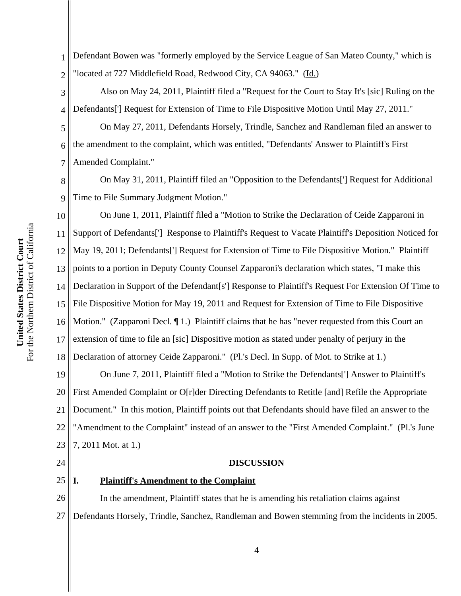1 2 Defendant Bowen was "formerly employed by the Service League of San Mateo County," which is "located at 727 Middlefield Road, Redwood City, CA 94063." (Id.)

3 4 Also on May 24, 2011, Plaintiff filed a "Request for the Court to Stay It's [sic] Ruling on the Defendants['] Request for Extension of Time to File Dispositive Motion Until May 27, 2011."

On May 27, 2011, Defendants Horsely, Trindle, Sanchez and Randleman filed an answer to the amendment to the complaint, which was entitled, "Defendants' Answer to Plaintiff's First Amended Complaint."

8 9 On May 31, 2011, Plaintiff filed an "Opposition to the Defendants['] Request for Additional Time to File Summary Judgment Motion."

10 11 12 13 14 15 16 17 18 On June 1, 2011, Plaintiff filed a "Motion to Strike the Declaration of Ceide Zapparoni in Support of Defendants['] Response to Plaintiff's Request to Vacate Plaintiff's Deposition Noticed for May 19, 2011; Defendants['] Request for Extension of Time to File Dispositive Motion." Plaintiff points to a portion in Deputy County Counsel Zapparoni's declaration which states, "I make this Declaration in Support of the Defendant[s'] Response to Plaintiff's Request For Extension Of Time to File Dispositive Motion for May 19, 2011 and Request for Extension of Time to File Dispositive Motion." (Zapparoni Decl.  $\P$  1.) Plaintiff claims that he has "never requested from this Court an extension of time to file an [sic] Dispositive motion as stated under penalty of perjury in the Declaration of attorney Ceide Zapparoni." (Pl.'s Decl. In Supp. of Mot. to Strike at 1.)

19 20 21 22 23 On June 7, 2011, Plaintiff filed a "Motion to Strike the Defendants['] Answer to Plaintiff's First Amended Complaint or O[r]der Directing Defendants to Retitle [and] Refile the Appropriate Document." In this motion, Plaintiff points out that Defendants should have filed an answer to the "Amendment to the Complaint" instead of an answer to the "First Amended Complaint." (Pl.'s June 7, 2011 Mot. at 1.)

24

25

5

6

7

# **DISCUSSION**

# **I. Plaintiff's Amendment to the Complaint**

26 27 In the amendment, Plaintiff states that he is amending his retaliation claims against Defendants Horsely, Trindle, Sanchez, Randleman and Bowen stemming from the incidents in 2005.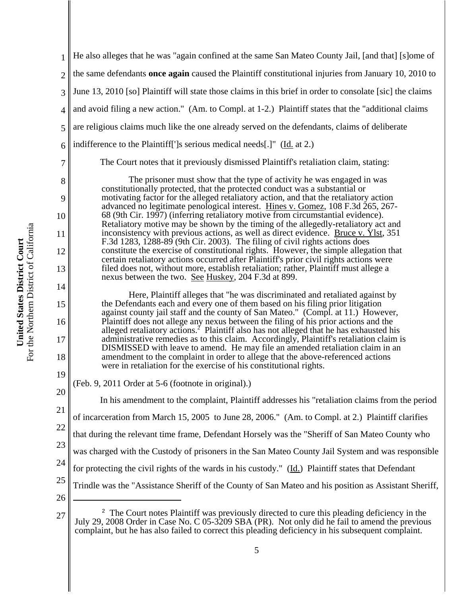| 1              | He also alleges that he was "again confined at the same San Mateo County Jail, [and that] [s]ome of                                                                                                                                                                           |
|----------------|-------------------------------------------------------------------------------------------------------------------------------------------------------------------------------------------------------------------------------------------------------------------------------|
| $\overline{2}$ | the same defendants <b>once again</b> caused the Plaintiff constitutional injuries from January 10, 2010 to                                                                                                                                                                   |
| 3              | June 13, 2010 [so] Plaintiff will state those claims in this brief in order to consolate [sic] the claims                                                                                                                                                                     |
| 4              | and avoid filing a new action." (Am. to Compl. at 1-2.) Plaintiff states that the "additional claims                                                                                                                                                                          |
| 5              | are religious claims much like the one already served on the defendants, claims of deliberate                                                                                                                                                                                 |
| 6              | indifference to the Plaintiff <sup>[']</sup> s serious medical needs[.]" (Id. at 2.)                                                                                                                                                                                          |
| 7              | The Court notes that it previously dismissed Plaintiff's retaliation claim, stating:                                                                                                                                                                                          |
| 8              | The prisoner must show that the type of activity he was engaged in was                                                                                                                                                                                                        |
| 9              | constitutionally protected, that the protected conduct was a substantial or<br>motivating factor for the alleged retaliatory action, and that the retaliatory action<br>advanced no legitimate penological interest. Hines v. Gomez, 108 F.3d 265, 267-                       |
| 10             | 68 (9th Cir. 1997) (inferring retaliatory motive from circumstantial evidence).<br>Retaliatory motive may be shown by the timing of the allegedly-retaliatory act and                                                                                                         |
| 11             | inconsistency with previous actions, as well as direct evidence. Bruce v. Ylst, 351<br>F.3d 1283, 1288-89 (9th Cir. 2003). The filing of civil rights actions does                                                                                                            |
| 12             | constitute the exercise of constitutional rights. However, the simple allegation that                                                                                                                                                                                         |
| 13             | certain retaliatory actions occurred after Plaintiff's prior civil rights actions were<br>filed does not, without more, establish retaliation; rather, Plaintiff must allege a<br>nexus between the two. See Huskey, 204 F.3d at 899.                                         |
| 14             |                                                                                                                                                                                                                                                                               |
| 15             | Here, Plaintiff alleges that "he was discriminated and retaliated against by<br>the Defendants each and every one of them based on his filing prior litigation                                                                                                                |
| 16             | against county jail staff and the county of San Mateo." (Compl. at 11.) However,<br>Plaintiff does not allege any nexus between the filing of his prior actions and the<br>alleged retaliatory actions. <sup>2</sup> Plaintiff also has not alleged that he has exhausted his |
| 17             | administrative remedies as to this claim. Accordingly, Plaintiff's retaliation claim is<br>DISMISSED with leave to amend. He may file an amended retaliation claim in an                                                                                                      |
| 18             | amendment to the complaint in order to allege that the above-referenced actions                                                                                                                                                                                               |
| 19             | were in retaliation for the exercise of his constitutional rights.                                                                                                                                                                                                            |
| 20             | (Feb. 9, 2011 Order at 5-6 (footnote in original).)                                                                                                                                                                                                                           |
| 21             | In his amendment to the complaint, Plaintiff addresses his "retaliation claims from the period                                                                                                                                                                                |
| 22             | of incarceration from March 15, 2005 to June 28, 2006." (Am. to Compl. at 2.) Plaintiff clarifies                                                                                                                                                                             |
| 23             | that during the relevant time frame, Defendant Horsely was the "Sheriff of San Mateo County who                                                                                                                                                                               |
| 24             | was charged with the Custody of prisoners in the San Mateo County Jail System and was responsible                                                                                                                                                                             |
|                | for protecting the civil rights of the wards in his custody." (Id.) Plaintiff states that Defendant                                                                                                                                                                           |
| 25             | Trindle was the "Assistance Sheriff of the County of San Mateo and his position as Assistant Sheriff,                                                                                                                                                                         |
| 26             |                                                                                                                                                                                                                                                                               |
| 27             | <sup>2</sup> The Court notes Plaintiff was previously directed to cure this pleading deficiency in the                                                                                                                                                                        |

For the Northern District of California For the Northern District of California United States District Court **United States District Court**

July 29, 2008 Order in Case No. C 05-3209 SBA (PR). Not only did he fail to amend the previous complaint, but he has also failed to correct this pleading deficiency in his subsequent complaint.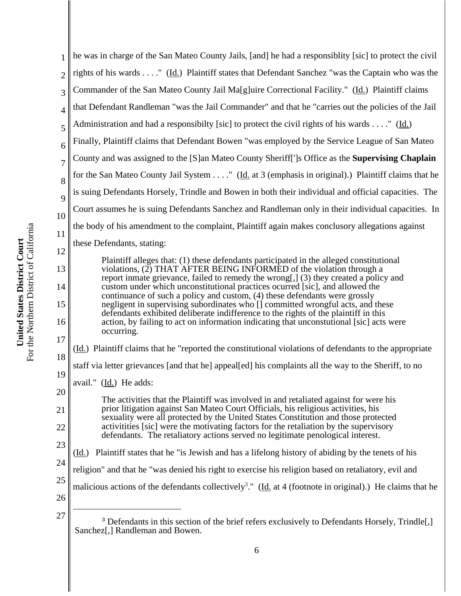| 1              | he was in charge of the San Mateo County Jails, [and] he had a responsiblity [sic] to protect the civil                                                                 |
|----------------|-------------------------------------------------------------------------------------------------------------------------------------------------------------------------|
| $\overline{2}$ | rights of his wards " (Id.) Plaintiff states that Defendant Sanchez "was the Captain who was the                                                                        |
| 3              | Commander of the San Mateo County Jail Ma[g]uire Correctional Facility." (Id.) Plaintiff claims                                                                         |
| 4              | that Defendant Randleman "was the Jail Commander" and that he "carries out the policies of the Jail                                                                     |
| 5              | Administration and had a responsibilty [sic] to protect the civil rights of his wards " (Id.)                                                                           |
| 6              | Finally, Plaintiff claims that Defendant Bowen "was employed by the Service League of San Mateo                                                                         |
| $\overline{7}$ | County and was assigned to the [S]an Mateo County Sheriff[']s Office as the Supervising Chaplain                                                                        |
| 8              | for the San Mateo County Jail System " ( <i>Id.</i> at 3 (emphasis in original).) Plaintiff claims that he                                                              |
| 9              | is suing Defendants Horsely, Trindle and Bowen in both their individual and official capacities. The                                                                    |
| 10             | Court assumes he is suing Defendants Sanchez and Randleman only in their individual capacities. In                                                                      |
| 11             | the body of his amendment to the complaint, Plaintiff again makes conclusory allegations against                                                                        |
| 12             | these Defendants, stating:                                                                                                                                              |
| 13             | Plaintiff alleges that: (1) these defendants participated in the alleged constitutional<br>violations, $(2)$ THAT AFTER BEING INFORMED of the violation through a       |
|                | report inmate grievance, failed to remedy the wrong[,] (3) they created a policy and<br>custom under which unconstitutional practices ocurred [sic], and allowed the    |
| 14             | continuance of such a policy and custom, (4) these defendants were grossly                                                                                              |
| 15             | negligent in supervising subordinates who [] committed wrongful acts, and these<br>defendants exhibited deliberate indifference to the rights of the plaintiff in this  |
| 16             | action, by failing to act on information indicating that unconstutional [sic] acts were<br>occurring.                                                                   |
| 17             | (Id.) Plaintiff claims that he "reported the constitutional violations of defendants to the appropriate                                                                 |
| 18             | staff via letter grievances [and that he] appeal[ed] his complaints all the way to the Sheriff, to no                                                                   |
| 19             | avail." $(\underline{Id.})$ He adds:                                                                                                                                    |
| 20             | The activities that the Plaintiff was involved in and retaliated against for were his                                                                                   |
| 21             | prior litigation against San Mateo Court Officials, his religious activities, his<br>sexuality were all protected by the United States Constitution and those protected |
| 22             | activitities [sic] were the motivating factors for the retaliation by the supervisory<br>defendants. The retaliatory actions served no legitimate penological interest. |
| 23             | (Id.) Plaintiff states that he "is Jewish and has a lifelong history of abiding by the tenets of his                                                                    |
| 24             | religion" and that he "was denied his right to exercise his religion based on retaliatory, evil and                                                                     |
| 25             | malicious actions of the defendants collectively <sup>3</sup> ." ( $\underline{Id}$ at 4 (footnote in original).) He claims that he                                     |
| 26             |                                                                                                                                                                         |
| 27             | <sup>3</sup> Defendants in this section of the brief refers exclusively to Defendants Horsely, Trindle[,]<br>Sanchez[,] Randleman and Bowen.                            |

**United States District Court**<br>For the Northern District of California For the Northern District of California **United States District Court**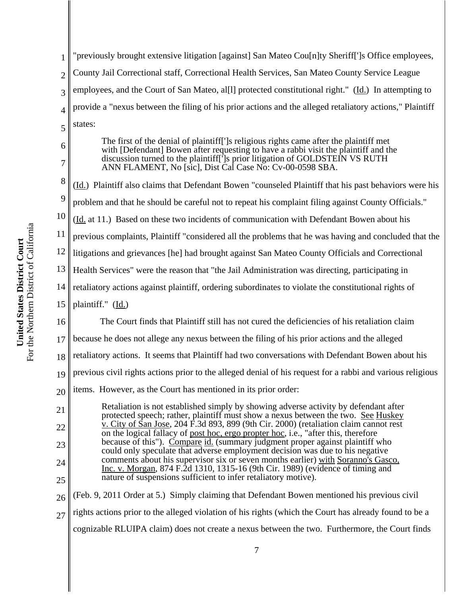16

26

1

2

3

4

"previously brought extensive litigation [against] San Mateo Cou[n]ty Sheriff[']s Office employees, County Jail Correctional staff, Correctional Health Services, San Mateo County Service League employees, and the Court of San Mateo, al[l] protected constitutional right." (Id.) In attempting to provide a "nexus between the filing of his prior actions and the alleged retaliatory actions," Plaintiff states:

The first of the denial of plaintiff[']s religious rights came after the plaintiff met with [Defendant] Bowen after requesting to have a rabbi visit the plaintiff and the discussion turned to the plaintiff[']s prior litigation of GOLDSTEIN VS RUTH ANN FLAMENT, No [sic], Dist Cal Case No: Cv-00-0598 SBA.

(Id.) Plaintiff also claims that Defendant Bowen "counseled Plaintiff that his past behaviors were his

problem and that he should be careful not to repeat his complaint filing against County Officials."

(Id. at 11.) Based on these two incidents of communication with Defendant Bowen about his

previous complaints, Plaintiff "considered all the problems that he was having and concluded that the

litigations and grievances [he] had brought against San Mateo County Officials and Correctional

Health Services" were the reason that "the Jail Administration was directing, participating in

retaliatory actions against plaintiff, ordering subordinates to violate the constitutional rights of

plaintiff." (Id.)

The Court finds that Plaintiff still has not cured the deficiencies of his retaliation claim

17 because he does not allege any nexus between the filing of his prior actions and the alleged

18 retaliatory actions. It seems that Plaintiff had two conversations with Defendant Bowen about his

19 previous civil rights actions prior to the alleged denial of his request for a rabbi and various religious

- 20 items. However, as the Court has mentioned in its prior order:
- 21 22 23 24 25 Retaliation is not established simply by showing adverse activity by defendant after protected speech; rather, plaintiff must show a nexus between the two. See Huskey v. City of San Jose, 204 F.3d 893, 899 (9th Cir. 2000) (retaliation claim cannot rest on the logical fallacy of post hoc, ergo propter hoc, i.e., "after this, therefore because of this"). Compare id. (summary judgment proper against plaintiff who could only speculate that adverse employment decision was due to his negative comments about his supervisor six or seven months earlier) with Soranno's Gasco, Inc. v. Morgan, 874 F.2d 1310, 1315-16 (9th Cir. 1989) (evidence of timing and nature of suspensions sufficient to infer retaliatory motive).

(Feb. 9, 2011 Order at 5.) Simply claiming that Defendant Bowen mentioned his previous civil

27 rights actions prior to the alleged violation of his rights (which the Court has already found to be a

cognizable RLUIPA claim) does not create a nexus between the two. Furthermore, the Court finds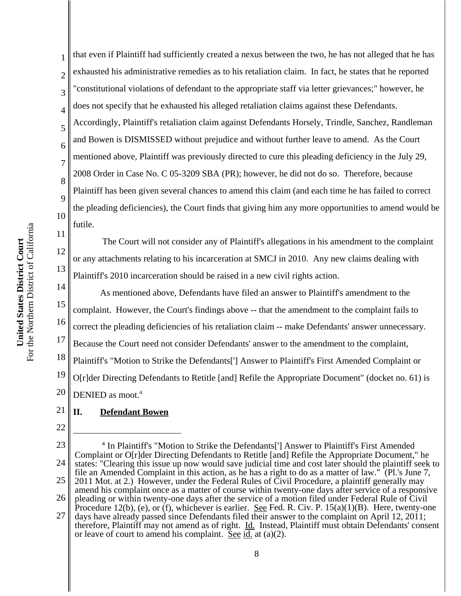1 2 3 4 5 6 7 8 9 10 that even if Plaintiff had sufficiently created a nexus between the two, he has not alleged that he has exhausted his administrative remedies as to his retaliation claim. In fact, he states that he reported "constitutional violations of defendant to the appropriate staff via letter grievances;" however, he does not specify that he exhausted his alleged retaliation claims against these Defendants. Accordingly, Plaintiff's retaliation claim against Defendants Horsely, Trindle, Sanchez, Randleman and Bowen is DISMISSED without prejudice and without further leave to amend. As the Court mentioned above, Plaintiff was previously directed to cure this pleading deficiency in the July 29, 2008 Order in Case No. C 05-3209 SBA (PR); however, he did not do so. Therefore, because Plaintiff has been given several chances to amend this claim (and each time he has failed to correct the pleading deficiencies), the Court finds that giving him any more opportunities to amend would be futile.

12 13 The Court will not consider any of Plaintiff's allegations in his amendment to the complaint or any attachments relating to his incarceration at SMCJ in 2010. Any new claims dealing with Plaintiff's 2010 incarceration should be raised in a new civil rights action.

14 15 16 17 18 19 20 As mentioned above, Defendants have filed an answer to Plaintiff's amendment to the complaint. However, the Court's findings above -- that the amendment to the complaint fails to correct the pleading deficiencies of his retaliation claim -- make Defendants' answer unnecessary. Because the Court need not consider Defendants' answer to the amendment to the complaint, Plaintiff's "Motion to Strike the Defendants['] Answer to Plaintiff's First Amended Complaint or O[r]der Directing Defendants to Retitle [and] Refile the Appropriate Document" (docket no. 61) is DENIED as moot.<sup>4</sup>

### 21 **II. Defendant Bowen**

22

11

<sup>23</sup> 24 25 26 27 <sup>4</sup> In Plaintiff's "Motion to Strike the Defendants['] Answer to Plaintiff's First Amended Complaint or O[r]der Directing Defendants to Retitle [and] Refile the Appropriate Document," he states: "Clearing this issue up now would save judicial time and cost later should the plaintiff seek to file an Amended Complaint in this action, as he has a right to do as a matter of law." (Pl.'s June 7, 2011 Mot. at 2.) However, under the Federal Rules of Civil Procedure, a plaintiff generally may amend his complaint once as a matter of course within twenty-one days after service of a responsive pleading or within twenty-one days after the service of a motion filed under Federal Rule of Civil Procedure 12(b), (e), or (f), whichever is earlier. See Fed. R. Civ. P. 15(a)(1)(B). Here, twenty-one days have already passed since Defendants filed their answer to the complaint on April 12, 2011;

therefore, Plaintiff may not amend as of right. Id. Instead, Plaintiff must obtain Defendants' consent or leave of court to amend his complaint. See  $\overline{d}$  at (a)(2).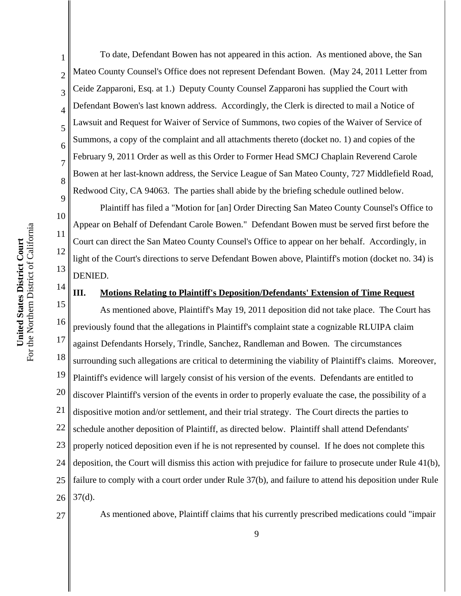10 For the Northern District of California For the Northern District of California 11 United States District Court **United States District Court** 12 13

To date, Defendant Bowen has not appeared in this action. As mentioned above, the San Mateo County Counsel's Office does not represent Defendant Bowen. (May 24, 2011 Letter from Ceide Zapparoni, Esq. at 1.) Deputy County Counsel Zapparoni has supplied the Court with Defendant Bowen's last known address. Accordingly, the Clerk is directed to mail a Notice of Lawsuit and Request for Waiver of Service of Summons, two copies of the Waiver of Service of Summons, a copy of the complaint and all attachments thereto (docket no. 1) and copies of the February 9, 2011 Order as well as this Order to Former Head SMCJ Chaplain Reverend Carole Bowen at her last-known address, the Service League of San Mateo County, 727 Middlefield Road, Redwood City, CA 94063. The parties shall abide by the briefing schedule outlined below.

Plaintiff has filed a "Motion for [an] Order Directing San Mateo County Counsel's Office to Appear on Behalf of Defendant Carole Bowen." Defendant Bowen must be served first before the Court can direct the San Mateo County Counsel's Office to appear on her behalf. Accordingly, in light of the Court's directions to serve Defendant Bowen above, Plaintiff's motion (docket no. 34) is DENIED.

14

1

2

3

4

5

6

7

8

9

### **III. Motions Relating to Plaintiff's Deposition/Defendants' Extension of Time Request**

15 16 17 18 19 20 21 22 23 24 25 26 As mentioned above, Plaintiff's May 19, 2011 deposition did not take place. The Court has previously found that the allegations in Plaintiff's complaint state a cognizable RLUIPA claim against Defendants Horsely, Trindle, Sanchez, Randleman and Bowen. The circumstances surrounding such allegations are critical to determining the viability of Plaintiff's claims. Moreover, Plaintiff's evidence will largely consist of his version of the events. Defendants are entitled to discover Plaintiff's version of the events in order to properly evaluate the case, the possibility of a dispositive motion and/or settlement, and their trial strategy. The Court directs the parties to schedule another deposition of Plaintiff, as directed below. Plaintiff shall attend Defendants' properly noticed deposition even if he is not represented by counsel. If he does not complete this deposition, the Court will dismiss this action with prejudice for failure to prosecute under Rule 41(b), failure to comply with a court order under Rule 37(b), and failure to attend his deposition under Rule  $37(d)$ .

27

As mentioned above, Plaintiff claims that his currently prescribed medications could "impair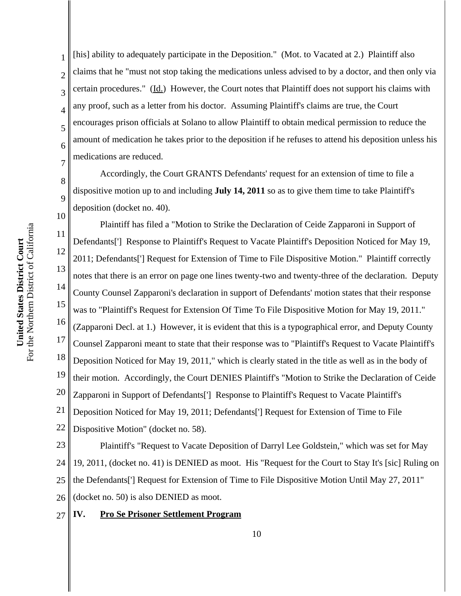For the Northern District of California For the Northern District of California United States District Court **United States District Court**

8

9

10

1 2 3 4 5 6 7 [his] ability to adequately participate in the Deposition." (Mot. to Vacated at 2.) Plaintiff also claims that he "must not stop taking the medications unless advised to by a doctor, and then only via certain procedures." (Id.) However, the Court notes that Plaintiff does not support his claims with any proof, such as a letter from his doctor. Assuming Plaintiff's claims are true, the Court encourages prison officials at Solano to allow Plaintiff to obtain medical permission to reduce the amount of medication he takes prior to the deposition if he refuses to attend his deposition unless his medications are reduced.

Accordingly, the Court GRANTS Defendants' request for an extension of time to file a dispositive motion up to and including **July 14, 2011** so as to give them time to take Plaintiff's deposition (docket no. 40).

11 12 13 14 15 16 17 18 19 20 21 22 Plaintiff has filed a "Motion to Strike the Declaration of Ceide Zapparoni in Support of Defendants['] Response to Plaintiff's Request to Vacate Plaintiff's Deposition Noticed for May 19, 2011; Defendants['] Request for Extension of Time to File Dispositive Motion." Plaintiff correctly notes that there is an error on page one lines twenty-two and twenty-three of the declaration. Deputy County Counsel Zapparoni's declaration in support of Defendants' motion states that their response was to "Plaintiff's Request for Extension Of Time To File Dispositive Motion for May 19, 2011." (Zapparoni Decl. at 1.) However, it is evident that this is a typographical error, and Deputy County Counsel Zapparoni meant to state that their response was to "Plaintiff's Request to Vacate Plaintiff's Deposition Noticed for May 19, 2011," which is clearly stated in the title as well as in the body of their motion. Accordingly, the Court DENIES Plaintiff's "Motion to Strike the Declaration of Ceide Zapparoni in Support of Defendants['] Response to Plaintiff's Request to Vacate Plaintiff's Deposition Noticed for May 19, 2011; Defendants['] Request for Extension of Time to File Dispositive Motion" (docket no. 58).

23 24 25 26 Plaintiff's "Request to Vacate Deposition of Darryl Lee Goldstein," which was set for May 19, 2011, (docket no. 41) is DENIED as moot. His "Request for the Court to Stay It's [sic] Ruling on the Defendants['] Request for Extension of Time to File Dispositive Motion Until May 27, 2011" (docket no. 50) is also DENIED as moot.

#### 27 **IV. Pro Se Prisoner Settlement Program**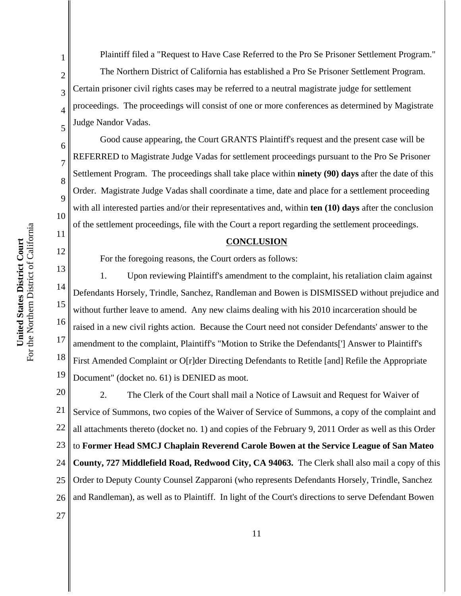Plaintiff filed a "Request to Have Case Referred to the Pro Se Prisoner Settlement Program." The Northern District of California has established a Pro Se Prisoner Settlement Program. Certain prisoner civil rights cases may be referred to a neutral magistrate judge for settlement proceedings. The proceedings will consist of one or more conferences as determined by Magistrate Judge Nandor Vadas.

Good cause appearing, the Court GRANTS Plaintiff's request and the present case will be REFERRED to Magistrate Judge Vadas for settlement proceedings pursuant to the Pro Se Prisoner Settlement Program. The proceedings shall take place within **ninety (90) days** after the date of this Order. Magistrate Judge Vadas shall coordinate a time, date and place for a settlement proceeding with all interested parties and/or their representatives and, within **ten (10) days** after the conclusion of the settlement proceedings, file with the Court a report regarding the settlement proceedings.

## **CONCLUSION**

For the foregoing reasons, the Court orders as follows:

13 14 15 16 17 18 19 1. Upon reviewing Plaintiff's amendment to the complaint, his retaliation claim against Defendants Horsely, Trindle, Sanchez, Randleman and Bowen is DISMISSED without prejudice and without further leave to amend. Any new claims dealing with his 2010 incarceration should be raised in a new civil rights action. Because the Court need not consider Defendants' answer to the amendment to the complaint, Plaintiff's "Motion to Strike the Defendants['] Answer to Plaintiff's First Amended Complaint or O[r]der Directing Defendants to Retitle [and] Refile the Appropriate Document" (docket no. 61) is DENIED as moot.

20 21 22 23 24 25 26 2. The Clerk of the Court shall mail a Notice of Lawsuit and Request for Waiver of Service of Summons, two copies of the Waiver of Service of Summons, a copy of the complaint and all attachments thereto (docket no. 1) and copies of the February 9, 2011 Order as well as this Order to **Former Head SMCJ Chaplain Reverend Carole Bowen at the Service League of San Mateo County, 727 Middlefield Road, Redwood City, CA 94063.** The Clerk shall also mail a copy of this Order to Deputy County Counsel Zapparoni (who represents Defendants Horsely, Trindle, Sanchez and Randleman), as well as to Plaintiff. In light of the Court's directions to serve Defendant Bowen

1

2

3

4

5

6

7

8

9

10

11

12

27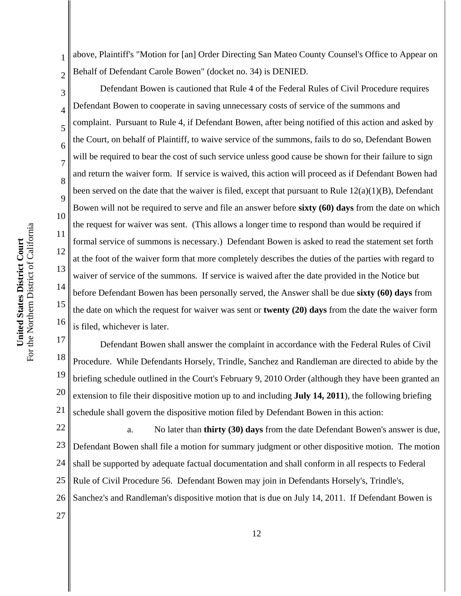2 above, Plaintiff's "Motion for [an] Order Directing San Mateo County Counsel's Office to Appear on Behalf of Defendant Carole Bowen" (docket no. 34) is DENIED.

Defendant Bowen is cautioned that Rule 4 of the Federal Rules of Civil Procedure requires Defendant Bowen to cooperate in saving unnecessary costs of service of the summons and complaint. Pursuant to Rule 4, if Defendant Bowen, after being notified of this action and asked by the Court, on behalf of Plaintiff, to waive service of the summons, fails to do so, Defendant Bowen will be required to bear the cost of such service unless good cause be shown for their failure to sign and return the waiver form. If service is waived, this action will proceed as if Defendant Bowen had been served on the date that the waiver is filed, except that pursuant to Rule  $12(a)(1)(B)$ , Defendant Bowen will not be required to serve and file an answer before **sixty (60) days** from the date on which the request for waiver was sent. (This allows a longer time to respond than would be required if formal service of summons is necessary.) Defendant Bowen is asked to read the statement set forth at the foot of the waiver form that more completely describes the duties of the parties with regard to waiver of service of the summons. If service is waived after the date provided in the Notice but before Defendant Bowen has been personally served, the Answer shall be due **sixty (60) days** from the date on which the request for waiver was sent or **twenty (20) days** from the date the waiver form is filed, whichever is later.

17 18 19 20 21 Defendant Bowen shall answer the complaint in accordance with the Federal Rules of Civil Procedure. While Defendants Horsely, Trindle, Sanchez and Randleman are directed to abide by the briefing schedule outlined in the Court's February 9, 2010 Order (although they have been granted an extension to file their dispositive motion up to and including **July 14, 2011**), the following briefing schedule shall govern the dispositive motion filed by Defendant Bowen in this action:

22 23 24 25 26 a. No later than **thirty (30) days** from the date Defendant Bowen's answer is due, Defendant Bowen shall file a motion for summary judgment or other dispositive motion. The motion shall be supported by adequate factual documentation and shall conform in all respects to Federal Rule of Civil Procedure 56. Defendant Bowen may join in Defendants Horsely's, Trindle's, Sanchez's and Randleman's dispositive motion that is due on July 14, 2011. If Defendant Bowen is

27

For the Northern District of California For the Northern District of California United States District Court **United States District Court**

1

3

4

5

6

7

8

9

10

11

12

13

14

15

16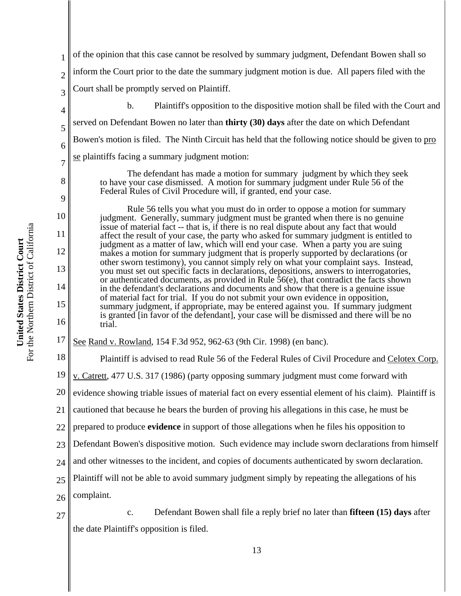1 2 3 4 5 6 7 8 9 10 11 12 13 14 15 16 17 18 19 20 21 22 23 24 25 26 27 of the opinion that this case cannot be resolved by summary judgment, Defendant Bowen shall so inform the Court prior to the date the summary judgment motion is due. All papers filed with the Court shall be promptly served on Plaintiff. b. Plaintiff's opposition to the dispositive motion shall be filed with the Court and served on Defendant Bowen no later than **thirty (30) days** after the date on which Defendant Bowen's motion is filed. The Ninth Circuit has held that the following notice should be given to pro se plaintiffs facing a summary judgment motion: The defendant has made a motion for summary judgment by which they seek to have your case dismissed. A motion for summary judgment under Rule 56 of the Federal Rules of Civil Procedure will, if granted, end your case. Rule 56 tells you what you must do in order to oppose a motion for summary judgment. Generally, summary judgment must be granted when there is no genuine issue of material fact -- that is, if there is no real dispute about any fact that would affect the result of your case, the party who asked for summary judgment is entitled to judgment as a matter of law, which will end your case. When a party you are suing makes a motion for summary judgment that is properly supported by declarations (or other sworn testimony), you cannot simply rely on what your complaint says. Instead, you must set out specific facts in declarations, depositions, answers to interrogatories, or authenticated documents, as provided in Rule 56(e), that contradict the facts shown in the defendant's declarations and documents and show that there is a genuine issue of material fact for trial. If you do not submit your own evidence in opposition, summary judgment, if appropriate, may be entered against you. If summary judgment is granted [in favor of the defendant], your case will be dismissed and there will be no trial. See Rand v. Rowland, 154 F.3d 952, 962-63 (9th Cir. 1998) (en banc). Plaintiff is advised to read Rule 56 of the Federal Rules of Civil Procedure and Celotex Corp. v. Catrett, 477 U.S. 317 (1986) (party opposing summary judgment must come forward with evidence showing triable issues of material fact on every essential element of his claim). Plaintiff is cautioned that because he bears the burden of proving his allegations in this case, he must be prepared to produce **evidence** in support of those allegations when he files his opposition to Defendant Bowen's dispositive motion. Such evidence may include sworn declarations from himself and other witnesses to the incident, and copies of documents authenticated by sworn declaration. Plaintiff will not be able to avoid summary judgment simply by repeating the allegations of his complaint. c. Defendant Bowen shall file a reply brief no later than **fifteen (15) days** after the date Plaintiff's opposition is filed.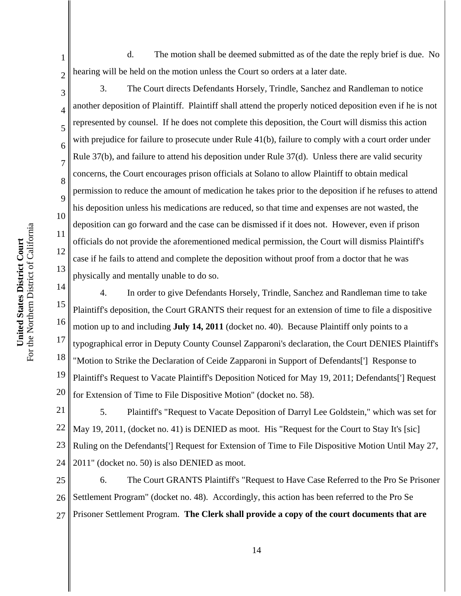For the Northern District of California For the Northern District of California United States District Court **United States District Court**

1

2

3

4

5

6

7

8

9

10

11

12

13

d. The motion shall be deemed submitted as of the date the reply brief is due. No hearing will be held on the motion unless the Court so orders at a later date.

3. The Court directs Defendants Horsely, Trindle, Sanchez and Randleman to notice another deposition of Plaintiff. Plaintiff shall attend the properly noticed deposition even if he is not represented by counsel. If he does not complete this deposition, the Court will dismiss this action with prejudice for failure to prosecute under Rule 41(b), failure to comply with a court order under Rule 37(b), and failure to attend his deposition under Rule 37(d). Unless there are valid security concerns, the Court encourages prison officials at Solano to allow Plaintiff to obtain medical permission to reduce the amount of medication he takes prior to the deposition if he refuses to attend his deposition unless his medications are reduced, so that time and expenses are not wasted, the deposition can go forward and the case can be dismissed if it does not. However, even if prison officials do not provide the aforementioned medical permission, the Court will dismiss Plaintiff's case if he fails to attend and complete the deposition without proof from a doctor that he was physically and mentally unable to do so.

14 15 16 17 18 19 20 4. In order to give Defendants Horsely, Trindle, Sanchez and Randleman time to take Plaintiff's deposition, the Court GRANTS their request for an extension of time to file a dispositive motion up to and including **July 14, 2011** (docket no. 40). Because Plaintiff only points to a typographical error in Deputy County Counsel Zapparoni's declaration, the Court DENIES Plaintiff's "Motion to Strike the Declaration of Ceide Zapparoni in Support of Defendants['] Response to Plaintiff's Request to Vacate Plaintiff's Deposition Noticed for May 19, 2011; Defendants['] Request for Extension of Time to File Dispositive Motion" (docket no. 58).

21 22 23 24 5. Plaintiff's "Request to Vacate Deposition of Darryl Lee Goldstein," which was set for May 19, 2011, (docket no. 41) is DENIED as moot. His "Request for the Court to Stay It's [sic] Ruling on the Defendants['] Request for Extension of Time to File Dispositive Motion Until May 27, 2011" (docket no. 50) is also DENIED as moot.

25 26 27 6. The Court GRANTS Plaintiff's "Request to Have Case Referred to the Pro Se Prisoner Settlement Program" (docket no. 48). Accordingly, this action has been referred to the Pro Se Prisoner Settlement Program. **The Clerk shall provide a copy of the court documents that are**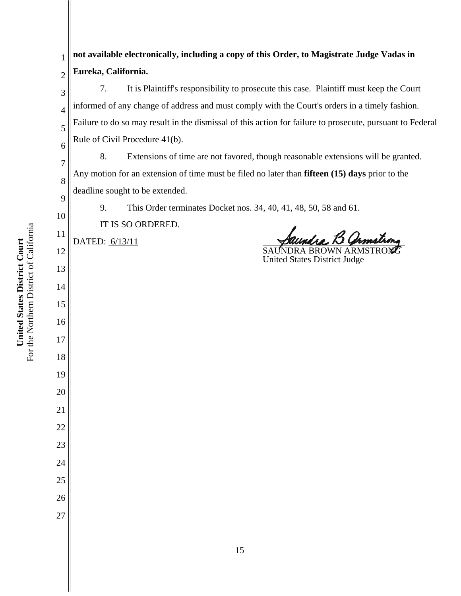**United States District Court**<br>For the Northern District of California For the Northern District of California **United States District Court**

| 1              | not available electronically, including a copy of this Order, to Magistrate Judge Vadas in                |  |  |
|----------------|-----------------------------------------------------------------------------------------------------------|--|--|
| $\overline{2}$ | Eureka, California.                                                                                       |  |  |
| 3              | 7.<br>It is Plaintiff's responsibility to prosecute this case. Plaintiff must keep the Court              |  |  |
| $\overline{4}$ | informed of any change of address and must comply with the Court's orders in a timely fashion.            |  |  |
| 5              | Failure to do so may result in the dismissal of this action for failure to prosecute, pursuant to Federal |  |  |
| 6              | Rule of Civil Procedure 41(b).                                                                            |  |  |
| $\overline{7}$ | Extensions of time are not favored, though reasonable extensions will be granted.<br>8.                   |  |  |
| 8              | Any motion for an extension of time must be filed no later than fifteen (15) days prior to the            |  |  |
| 9              | deadline sought to be extended.                                                                           |  |  |
| 10             | 9.<br>This Order terminates Docket nos. 34, 40, 41, 48, 50, 58 and 61.                                    |  |  |
| 11             | IT IS SO ORDERED.                                                                                         |  |  |
| 12             | DATED: 6/13/11                                                                                            |  |  |
| 13             | <b>United States District Judge</b>                                                                       |  |  |
| 14             |                                                                                                           |  |  |
| 15             |                                                                                                           |  |  |
| 16             |                                                                                                           |  |  |
|                |                                                                                                           |  |  |
| 17             |                                                                                                           |  |  |
| 18             |                                                                                                           |  |  |
| 19             |                                                                                                           |  |  |
| 20             |                                                                                                           |  |  |
| 21             |                                                                                                           |  |  |
| 22             |                                                                                                           |  |  |
| 23             |                                                                                                           |  |  |
| 24             |                                                                                                           |  |  |
| 25             |                                                                                                           |  |  |
| 26             |                                                                                                           |  |  |
| 27             |                                                                                                           |  |  |
|                |                                                                                                           |  |  |
|                | 15                                                                                                        |  |  |